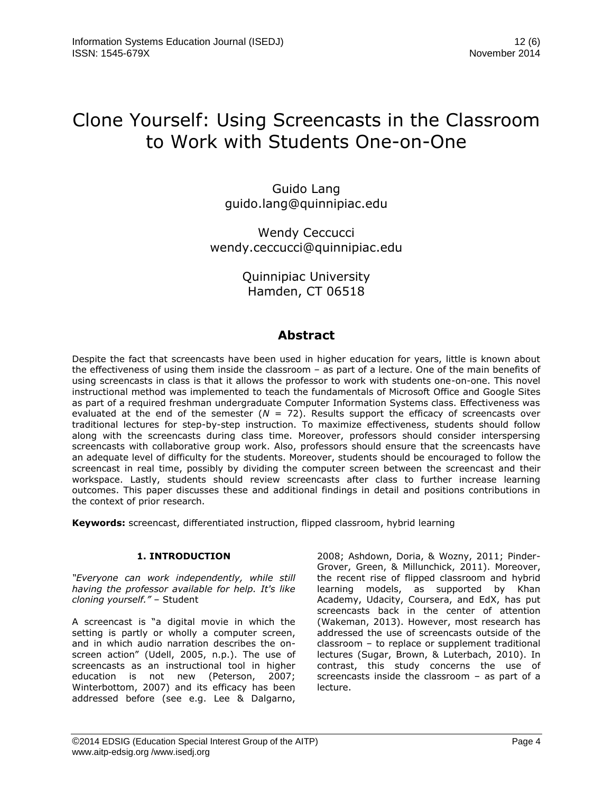# Clone Yourself: Using Screencasts in the Classroom to Work with Students One-on-One

Guido Lang guido.lang@quinnipiac.edu

Wendy Ceccucci wendy.ceccucci@quinnipiac.edu

> Quinnipiac University Hamden, CT 06518

# **Abstract**

Despite the fact that screencasts have been used in higher education for years, little is known about the effectiveness of using them inside the classroom – as part of a lecture. One of the main benefits of using screencasts in class is that it allows the professor to work with students one-on-one. This novel instructional method was implemented to teach the fundamentals of Microsoft Office and Google Sites as part of a required freshman undergraduate Computer Information Systems class. Effectiveness was evaluated at the end of the semester  $(N = 72)$ . Results support the efficacy of screencasts over traditional lectures for step-by-step instruction. To maximize effectiveness, students should follow along with the screencasts during class time. Moreover, professors should consider interspersing screencasts with collaborative group work. Also, professors should ensure that the screencasts have an adequate level of difficulty for the students. Moreover, students should be encouraged to follow the screencast in real time, possibly by dividing the computer screen between the screencast and their workspace. Lastly, students should review screencasts after class to further increase learning outcomes. This paper discusses these and additional findings in detail and positions contributions in the context of prior research.

**Keywords:** screencast, differentiated instruction, flipped classroom, hybrid learning

# **1. INTRODUCTION**

*"Everyone can work independently, while still having the professor available for help. It's like cloning yourself."* – Student

A screencast is "a digital movie in which the setting is partly or wholly a computer screen, and in which audio narration describes the onscreen action" (Udell, 2005, n.p.). The use of screencasts as an instructional tool in higher education is not new (Peterson, 2007; Winterbottom, 2007) and its efficacy has been addressed before (see e.g. Lee & Dalgarno,

2008; Ashdown, Doria, & Wozny, 2011; Pinder-Grover, Green, & Millunchick, 2011). Moreover, the recent rise of flipped classroom and hybrid learning models, as supported by Khan Academy, Udacity, Coursera, and EdX, has put screencasts back in the center of attention (Wakeman, 2013). However, most research has addressed the use of screencasts outside of the classroom – to replace or supplement traditional lectures (Sugar, Brown, & Luterbach, 2010). In contrast, this study concerns the use of screencasts inside the classroom – as part of a lecture.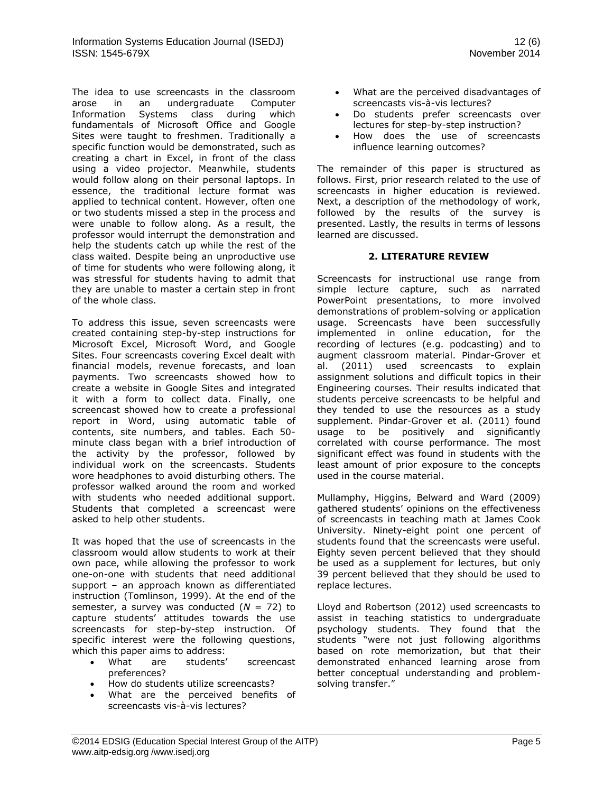The idea to use screencasts in the classroom arose in an undergraduate Computer Information Systems class during which fundamentals of Microsoft Office and Google Sites were taught to freshmen. Traditionally a specific function would be demonstrated, such as creating a chart in Excel, in front of the class using a video projector. Meanwhile, students would follow along on their personal laptops. In essence, the traditional lecture format was applied to technical content. However, often one or two students missed a step in the process and were unable to follow along. As a result, the professor would interrupt the demonstration and help the students catch up while the rest of the class waited. Despite being an unproductive use of time for students who were following along, it was stressful for students having to admit that they are unable to master a certain step in front of the whole class.

To address this issue, seven screencasts were created containing step-by-step instructions for Microsoft Excel, Microsoft Word, and Google Sites. Four screencasts covering Excel dealt with financial models, revenue forecasts, and loan payments. Two screencasts showed how to create a website in Google Sites and integrated it with a form to collect data. Finally, one screencast showed how to create a professional report in Word, using automatic table of contents, site numbers, and tables. Each 50 minute class began with a brief introduction of the activity by the professor, followed by individual work on the screencasts. Students wore headphones to avoid disturbing others. The professor walked around the room and worked with students who needed additional support. Students that completed a screencast were asked to help other students.

It was hoped that the use of screencasts in the classroom would allow students to work at their own pace, while allowing the professor to work one-on-one with students that need additional support – an approach known as differentiated instruction (Tomlinson, 1999). At the end of the semester, a survey was conducted (*N* = 72) to capture students' attitudes towards the use screencasts for step-by-step instruction. Of specific interest were the following questions, which this paper aims to address:

- What are students' screencast preferences?
- How do students utilize screencasts?
- What are the perceived benefits of screencasts vis-à-vis lectures?
- What are the perceived disadvantages of screencasts vis-à-vis lectures?
- Do students prefer screencasts over lectures for step-by-step instruction?
- How does the use of screencasts influence learning outcomes?

The remainder of this paper is structured as follows. First, prior research related to the use of screencasts in higher education is reviewed. Next, a description of the methodology of work, followed by the results of the survey is presented. Lastly, the results in terms of lessons learned are discussed.

### **2. LITERATURE REVIEW**

Screencasts for instructional use range from simple lecture capture, such as narrated PowerPoint presentations, to more involved demonstrations of problem-solving or application usage. Screencasts have been successfully implemented in online education, for the recording of lectures (e.g. podcasting) and to augment classroom material. Pindar-Grover et al. (2011) used screencasts to explain assignment solutions and difficult topics in their Engineering courses. Their results indicated that students perceive screencasts to be helpful and they tended to use the resources as a study supplement. Pindar-Grover et al. (2011) found usage to be positively and significantly correlated with course performance. The most significant effect was found in students with the least amount of prior exposure to the concepts used in the course material.

Mullamphy, Higgins, Belward and Ward (2009) gathered students' opinions on the effectiveness of screencasts in teaching math at James Cook University. Ninety-eight point one percent of students found that the screencasts were useful. Eighty seven percent believed that they should be used as a supplement for lectures, but only 39 percent believed that they should be used to replace lectures.

Lloyd and Robertson (2012) used screencasts to assist in teaching statistics to undergraduate psychology students. They found that the students "were not just following algorithms based on rote memorization, but that their demonstrated enhanced learning arose from better conceptual understanding and problemsolving transfer."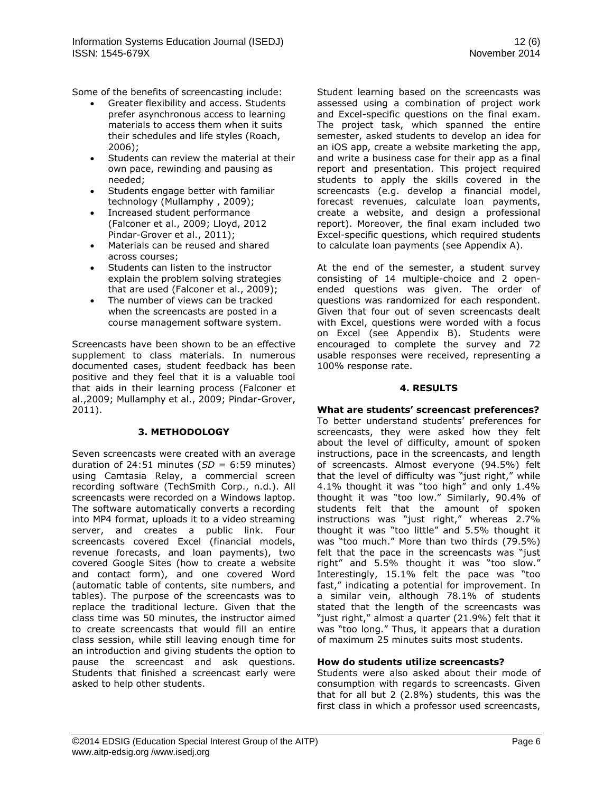Some of the benefits of screencasting include:

- Greater flexibility and access. Students prefer asynchronous access to learning materials to access them when it suits their schedules and life styles (Roach, 2006);
- Students can review the material at their own pace, rewinding and pausing as needed;
- Students engage better with familiar technology (Mullamphy , 2009);
- Increased student performance (Falconer et al., 2009; Lloyd, 2012 Pindar-Grover et al., 2011);
- Materials can be reused and shared across courses;
- Students can listen to the instructor explain the problem solving strategies that are used (Falconer et al., 2009);
- The number of views can be tracked when the screencasts are posted in a course management software system.

Screencasts have been shown to be an effective supplement to class materials. In numerous documented cases, student feedback has been positive and they feel that it is a valuable tool that aids in their learning process (Falconer et al.,2009; Mullamphy et al., 2009; Pindar-Grover, 2011).

#### **3. METHODOLOGY**

Seven screencasts were created with an average duration of 24:51 minutes (*SD* = 6:59 minutes) using Camtasia Relay, a commercial screen recording software (TechSmith Corp., n.d.). All screencasts were recorded on a Windows laptop. The software automatically converts a recording into MP4 format, uploads it to a video streaming server, and creates a public link. Four screencasts covered Excel (financial models, revenue forecasts, and loan payments), two covered Google Sites (how to create a website and contact form), and one covered Word (automatic table of contents, site numbers, and tables). The purpose of the screencasts was to replace the traditional lecture. Given that the class time was 50 minutes, the instructor aimed to create screencasts that would fill an entire class session, while still leaving enough time for an introduction and giving students the option to pause the screencast and ask questions. Students that finished a screencast early were asked to help other students.

Student learning based on the screencasts was assessed using a combination of project work and Excel-specific questions on the final exam. The project task, which spanned the entire semester, asked students to develop an idea for an iOS app, create a website marketing the app, and write a business case for their app as a final report and presentation. This project required students to apply the skills covered in the screencasts (e.g. develop a financial model, forecast revenues, calculate loan payments, create a website, and design a professional report). Moreover, the final exam included two Excel-specific questions, which required students to calculate loan payments (see Appendix A).

At the end of the semester, a student survey consisting of 14 multiple-choice and 2 openended questions was given. The order of questions was randomized for each respondent. Given that four out of seven screencasts dealt with Excel, questions were worded with a focus on Excel (see Appendix B). Students were encouraged to complete the survey and 72 usable responses were received, representing a 100% response rate.

### **4. RESULTS**

# **What are students' screencast preferences?**

To better understand students' preferences for screencasts, they were asked how they felt about the level of difficulty, amount of spoken instructions, pace in the screencasts, and length of screencasts. Almost everyone (94.5%) felt that the level of difficulty was "just right," while 4.1% thought it was "too high" and only 1.4% thought it was "too low." Similarly, 90.4% of students felt that the amount of spoken instructions was "just right," whereas 2.7% thought it was "too little" and 5.5% thought it was "too much." More than two thirds (79.5%) felt that the pace in the screencasts was "just right" and 5.5% thought it was "too slow." Interestingly, 15.1% felt the pace was "too fast," indicating a potential for improvement. In a similar vein, although 78.1% of students stated that the length of the screencasts was "just right," almost a quarter (21.9%) felt that it was "too long." Thus, it appears that a duration of maximum 25 minutes suits most students.

#### **How do students utilize screencasts?**

Students were also asked about their mode of consumption with regards to screencasts. Given that for all but 2 (2.8%) students, this was the first class in which a professor used screencasts,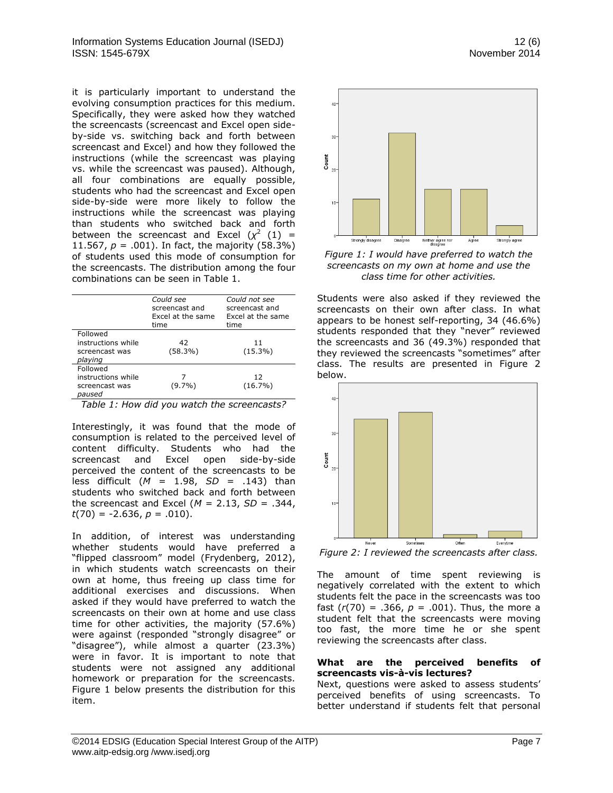it is particularly important to understand the evolving consumption practices for this medium. Specifically, they were asked how they watched the screencasts (screencast and Excel open sideby-side vs. switching back and forth between screencast and Excel) and how they followed the instructions (while the screencast was playing vs. while the screencast was paused). Although, all four combinations are equally possible, students who had the screencast and Excel open side-by-side were more likely to follow the instructions while the screencast was playing than students who switched back and forth between the screencast and Excel  $(\chi^2)(1) =$ 11.567,  $p = .001$ ). In fact, the majority (58.3%) of students used this mode of consumption for the screencasts. The distribution among the four combinations can be seen in Table 1.

|                                                             | Could see<br>screencast and<br>Excel at the same<br>time | Could not see<br>screencast and<br>Excel at the same<br>time |
|-------------------------------------------------------------|----------------------------------------------------------|--------------------------------------------------------------|
| Followed<br>instructions while<br>screencast was<br>playing | 42<br>$(58.3\%)$                                         | 11<br>$(15.3\%)$                                             |
| Followed<br>instructions while<br>screencast was<br>paused  | $(9.7\%)$                                                | 12<br>$(16.7\%)$                                             |

| instructions while                          |           | 12         |
|---------------------------------------------|-----------|------------|
| screencast was<br>paused                    | $(9.7\%)$ | $(16.7\%)$ |
| Table 1: How did you watch the screencasts? |           |            |

Interestingly, it was found that the mode of consumption is related to the perceived level of content difficulty. Students who had the screencast and Excel open side-by-side perceived the content of the screencasts to be less difficult (*M* = 1.98, *SD* = .143) than students who switched back and forth between the screencast and Excel  $(M = 2.13, SD = .344,$  $t(70) = -2.636, p = .010$ .

In addition, of interest was understanding whether students would have preferred a "flipped classroom" model (Frydenberg, 2012), in which students watch screencasts on their own at home, thus freeing up class time for additional exercises and discussions. When asked if they would have preferred to watch the screencasts on their own at home and use class time for other activities, the majority (57.6%) were against (responded "strongly disagree" or "disagree"), while almost a quarter (23.3%) were in favor. It is important to note that students were not assigned any additional homework or preparation for the screencasts. Figure 1 below presents the distribution for this item.





*Figure 1: I would have preferred to watch the screencasts on my own at home and use the class time for other activities.*

Students were also asked if they reviewed the screencasts on their own after class. In what appears to be honest self-reporting, 34 (46.6%) students responded that they "never" reviewed the screencasts and 36 (49.3%) responded that they reviewed the screencasts "sometimes" after class. The results are presented in Figure 2 below.



*Figure 2: I reviewed the screencasts after class.*

The amount of time spent reviewing is negatively correlated with the extent to which students felt the pace in the screencasts was too fast  $(r(70) = .366, p = .001)$ . Thus, the more a student felt that the screencasts were moving too fast, the more time he or she spent reviewing the screencasts after class.

#### **What are the perceived benefits of screencasts vis-à-vis lectures?**

Next, questions were asked to assess students' perceived benefits of using screencasts. To better understand if students felt that personal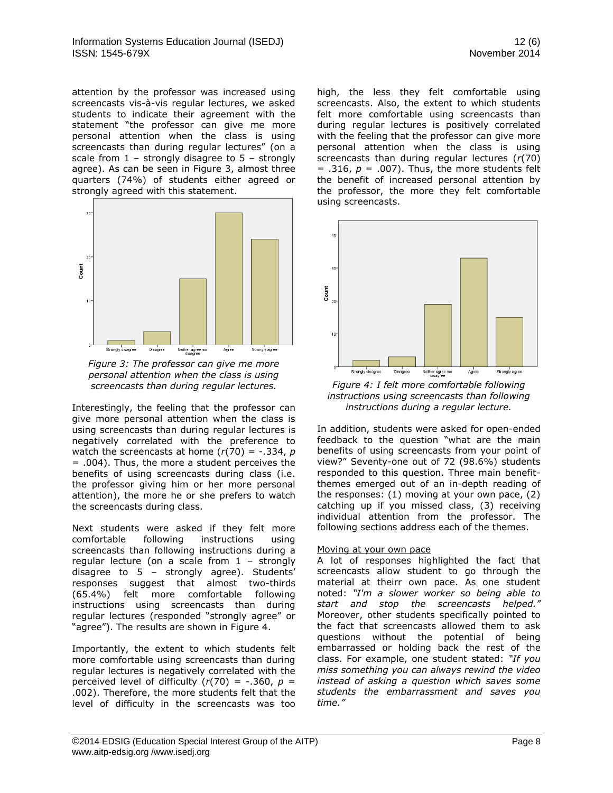attention by the professor was increased using screencasts vis-à-vis regular lectures, we asked students to indicate their agreement with the statement "the professor can give me more personal attention when the class is using screencasts than during regular lectures" (on a scale from  $1$  – strongly disagree to  $5$  – strongly agree). As can be seen in Figure 3, almost three quarters (74%) of students either agreed or strongly agreed with this statement.



*Figure 3: The professor can give me more personal attention when the class is using screencasts than during regular lectures.*

Interestingly, the feeling that the professor can give more personal attention when the class is using screencasts than during regular lectures is negatively correlated with the preference to watch the screencasts at home  $(r(70) = -.334, p)$ = .004). Thus, the more a student perceives the benefits of using screencasts during class (i.e. the professor giving him or her more personal attention), the more he or she prefers to watch the screencasts during class.

Next students were asked if they felt more comfortable following instructions using screencasts than following instructions during a regular lecture (on a scale from 1 – strongly disagree to 5 – strongly agree). Students' responses suggest that almost two-thirds (65.4%) felt more comfortable following instructions using screencasts than during regular lectures (responded "strongly agree" or "agree"). The results are shown in Figure 4.

Importantly, the extent to which students felt more comfortable using screencasts than during regular lectures is negatively correlated with the perceived level of difficulty  $(r(70) = -.360, p =$ .002). Therefore, the more students felt that the level of difficulty in the screencasts was too high, the less they felt comfortable using screencasts. Also, the extent to which students felt more comfortable using screencasts than during regular lectures is positively correlated with the feeling that the professor can give more personal attention when the class is using screencasts than during regular lectures (*r*(70)  $= .316$ ,  $p = .007$ ). Thus, the more students felt the benefit of increased personal attention by the professor, the more they felt comfortable using screencasts.



*Figure 4: I felt more comfortable following instructions using screencasts than following instructions during a regular lecture.*

In addition, students were asked for open-ended feedback to the question "what are the main benefits of using screencasts from your point of view?" Seventy-one out of 72 (98.6%) students responded to this question. Three main benefitthemes emerged out of an in-depth reading of the responses: (1) moving at your own pace, (2) catching up if you missed class, (3) receiving individual attention from the professor. The following sections address each of the themes.

#### Moving at your own pace

A lot of responses highlighted the fact that screencasts allow student to go through the material at theirr own pace. As one student noted: *"I'm a slower worker so being able to start and stop the screencasts helped."* Moreover, other students specifically pointed to the fact that screencasts allowed them to ask questions without the potential of being embarrassed or holding back the rest of the class. For example, one student stated: *"If you miss something you can always rewind the video instead of asking a question which saves some students the embarrassment and saves you time."*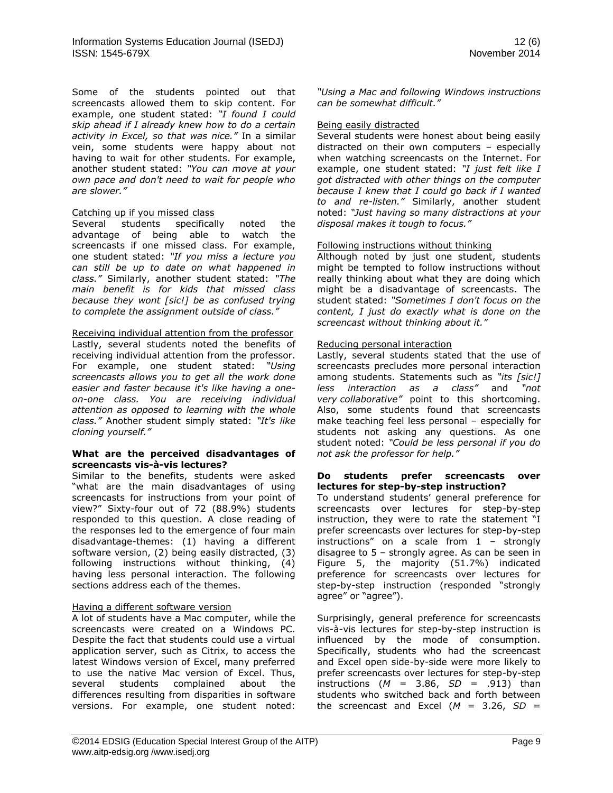Some of the students pointed out that screencasts allowed them to skip content. For example, one student stated: *"I found I could skip ahead if I already knew how to do a certain activity in Excel, so that was nice."* In a similar vein, some students were happy about not having to wait for other students. For example, another student stated: *"You can move at your own pace and don't need to wait for people who are slower."*

#### Catching up if you missed class

Several students specifically noted the advantage of being able to watch the screencasts if one missed class. For example, one student stated: *"If you miss a lecture you can still be up to date on what happened in class."* Similarly, another student stated: *"The main benefit is for kids that missed class because they wont [sic!] be as confused trying to complete the assignment outside of class."*

#### Receiving individual attention from the professor

Lastly, several students noted the benefits of receiving individual attention from the professor. For example, one student stated: *"Using screencasts allows you to get all the work done easier and faster because it's like having a oneon-one class. You are receiving individual attention as opposed to learning with the whole class."* Another student simply stated: *"It's like cloning yourself."*

#### **What are the perceived disadvantages of screencasts vis-à-vis lectures?**

Similar to the benefits, students were asked "what are the main disadvantages of using screencasts for instructions from your point of view?" Sixty-four out of 72 (88.9%) students responded to this question. A close reading of the responses led to the emergence of four main disadvantage-themes: (1) having a different software version, (2) being easily distracted, (3) following instructions without thinking, (4) having less personal interaction. The following sections address each of the themes.

#### Having a different software version

A lot of students have a Mac computer, while the screencasts were created on a Windows PC. Despite the fact that students could use a virtual application server, such as Citrix, to access the latest Windows version of Excel, many preferred to use the native Mac version of Excel. Thus, several students complained about the differences resulting from disparities in software versions. For example, one student noted:

*"Using a Mac and following Windows instructions can be somewhat difficult."*

#### Being easily distracted

Several students were honest about being easily distracted on their own computers – especially when watching screencasts on the Internet. For example, one student stated: *"I just felt like I got distracted with other things on the computer because I knew that I could go back if I wanted to and re-listen."* Similarly, another student noted: *"Just having so many distractions at your disposal makes it tough to focus."*

#### Following instructions without thinking

Although noted by just one student, students might be tempted to follow instructions without really thinking about what they are doing which might be a disadvantage of screencasts. The student stated: *"Sometimes I don't focus on the content, I just do exactly what is done on the screencast without thinking about it."*

#### Reducing personal interaction

Lastly, several students stated that the use of screencasts precludes more personal interaction among students. Statements such as *"its [sic!] less interaction as a class"* and *"not very collaborative"* point to this shortcoming. Also, some students found that screencasts make teaching feel less personal – especially for students not asking any questions. As one student noted: *"Could be less personal if you do not ask the professor for help."*

#### **Do students prefer screencasts over lectures for step-by-step instruction?**

To understand students' general preference for screencasts over lectures for step-by-step instruction, they were to rate the statement "I prefer screencasts over lectures for step-by-step instructions" on a scale from 1 – strongly disagree to 5 – strongly agree. As can be seen in Figure 5, the majority (51.7%) indicated preference for screencasts over lectures for step-by-step instruction (responded "strongly agree" or "agree").

Surprisingly, general preference for screencasts vis-à-vis lectures for step-by-step instruction is influenced by the mode of consumption. Specifically, students who had the screencast and Excel open side-by-side were more likely to prefer screencasts over lectures for step-by-step instructions  $(M = 3.86, SD = .913)$  than students who switched back and forth between the screencast and Excel  $(M = 3.26, SD =$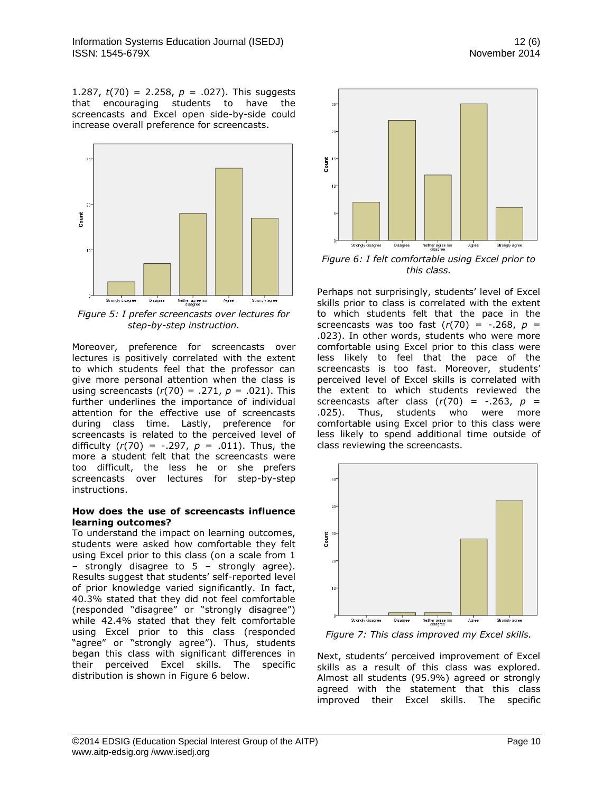1.287,  $t(70) = 2.258$ ,  $p = .027$ ). This suggests that encouraging students to have the screencasts and Excel open side-by-side could increase overall preference for screencasts.



*Figure 5: I prefer screencasts over lectures for step-by-step instruction.*

Moreover, preference for screencasts over lectures is positively correlated with the extent to which students feel that the professor can give more personal attention when the class is using screencasts (*r*(70) = .271, *p* = .021). This further underlines the importance of individual attention for the effective use of screencasts during class time. Lastly, preference for screencasts is related to the perceived level of difficulty (*r*(70) = -.297, *p* = .011). Thus, the more a student felt that the screencasts were too difficult, the less he or she prefers screencasts over lectures for step-by-step instructions.

#### **How does the use of screencasts influence learning outcomes?**

To understand the impact on learning outcomes, students were asked how comfortable they felt using Excel prior to this class (on a scale from 1 – strongly disagree to 5 – strongly agree). Results suggest that students' self-reported level of prior knowledge varied significantly. In fact, 40.3% stated that they did not feel comfortable (responded "disagree" or "strongly disagree") while 42.4% stated that they felt comfortable using Excel prior to this class (responded "agree" or "strongly agree"). Thus, students began this class with significant differences in their perceived Excel skills. The specific distribution is shown in Figure 6 below.



*Figure 6: I felt comfortable using Excel prior to this class.*

Perhaps not surprisingly, students' level of Excel skills prior to class is correlated with the extent to which students felt that the pace in the screencasts was too fast  $(r(70) = -.268, p =$ .023). In other words, students who were more comfortable using Excel prior to this class were less likely to feel that the pace of the screencasts is too fast. Moreover, students' perceived level of Excel skills is correlated with the extent to which students reviewed the screencasts after class  $(r(70) = -.263, p =$ .025). Thus, students who were more comfortable using Excel prior to this class were less likely to spend additional time outside of class reviewing the screencasts.



*Figure 7: This class improved my Excel skills.*

Next, students' perceived improvement of Excel skills as a result of this class was explored. Almost all students (95.9%) agreed or strongly agreed with the statement that this class improved their Excel skills. The specific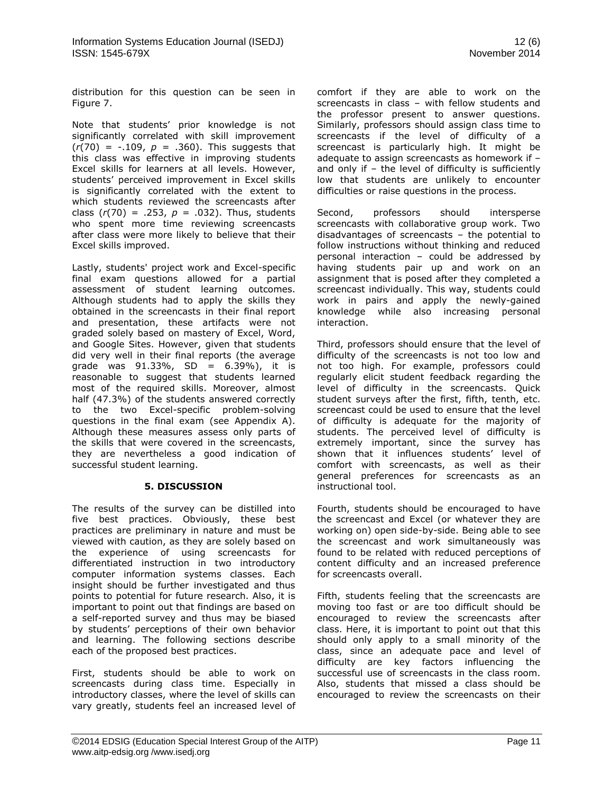distribution for this question can be seen in Figure 7.

Note that students' prior knowledge is not significantly correlated with skill improvement  $(r(70) = -.109, p = .360)$ . This suggests that this class was effective in improving students Excel skills for learners at all levels. However, students' perceived improvement in Excel skills is significantly correlated with the extent to which students reviewed the screencasts after class  $(r(70) = .253, p = .032)$ . Thus, students who spent more time reviewing screencasts after class were more likely to believe that their Excel skills improved.

Lastly, students' project work and Excel-specific final exam questions allowed for a partial assessment of student learning outcomes. Although students had to apply the skills they obtained in the screencasts in their final report and presentation, these artifacts were not graded solely based on mastery of Excel, Word, and Google Sites. However, given that students did very well in their final reports (the average grade was 91.33%, SD = 6.39%), it is reasonable to suggest that students learned most of the required skills. Moreover, almost half (47.3%) of the students answered correctly to the two Excel-specific problem-solving questions in the final exam (see Appendix A). Although these measures assess only parts of the skills that were covered in the screencasts, they are nevertheless a good indication of successful student learning.

#### **5. DISCUSSION**

The results of the survey can be distilled into five best practices. Obviously, these best practices are preliminary in nature and must be viewed with caution, as they are solely based on the experience of using screencasts for differentiated instruction in two introductory computer information systems classes. Each insight should be further investigated and thus points to potential for future research. Also, it is important to point out that findings are based on a self-reported survey and thus may be biased by students' perceptions of their own behavior and learning. The following sections describe each of the proposed best practices.

First, students should be able to work on screencasts during class time. Especially in introductory classes, where the level of skills can vary greatly, students feel an increased level of comfort if they are able to work on the screencasts in class – with fellow students and the professor present to answer questions. Similarly, professors should assign class time to screencasts if the level of difficulty of a screencast is particularly high. It might be adequate to assign screencasts as homework if – and only if  $-$  the level of difficulty is sufficiently low that students are unlikely to encounter difficulties or raise questions in the process.

Second, professors should intersperse screencasts with collaborative group work. Two disadvantages of screencasts – the potential to follow instructions without thinking and reduced personal interaction – could be addressed by having students pair up and work on an assignment that is posed after they completed a screencast individually. This way, students could work in pairs and apply the newly-gained knowledge while also increasing personal interaction.

Third, professors should ensure that the level of difficulty of the screencasts is not too low and not too high. For example, professors could regularly elicit student feedback regarding the level of difficulty in the screencasts. Quick student surveys after the first, fifth, tenth, etc. screencast could be used to ensure that the level of difficulty is adequate for the majority of students. The perceived level of difficulty is extremely important, since the survey has shown that it influences students' level of comfort with screencasts, as well as their general preferences for screencasts as an instructional tool.

Fourth, students should be encouraged to have the screencast and Excel (or whatever they are working on) open side-by-side. Being able to see the screencast and work simultaneously was found to be related with reduced perceptions of content difficulty and an increased preference for screencasts overall.

Fifth, students feeling that the screencasts are moving too fast or are too difficult should be encouraged to review the screencasts after class. Here, it is important to point out that this should only apply to a small minority of the class, since an adequate pace and level of difficulty are key factors influencing the successful use of screencasts in the class room. Also, students that missed a class should be encouraged to review the screencasts on their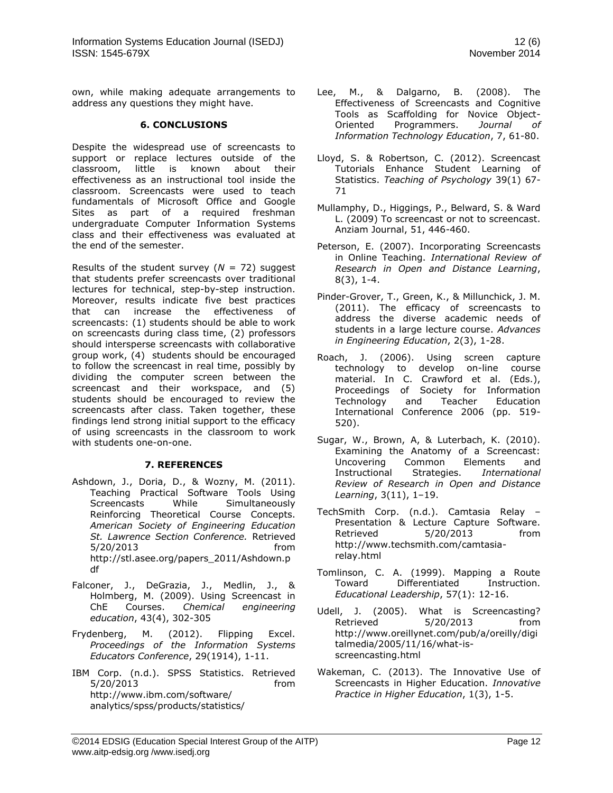own, while making adequate arrangements to address any questions they might have.

### **6. CONCLUSIONS**

Despite the widespread use of screencasts to support or replace lectures outside of the classroom, little is known about their effectiveness as an instructional tool inside the classroom. Screencasts were used to teach fundamentals of Microsoft Office and Google Sites as part of a required freshman undergraduate Computer Information Systems class and their effectiveness was evaluated at the end of the semester.

Results of the student survey  $(N = 72)$  suggest that students prefer screencasts over traditional lectures for technical, step-by-step instruction. Moreover, results indicate five best practices that can increase the effectiveness of screencasts: (1) students should be able to work on screencasts during class time, (2) professors should intersperse screencasts with collaborative group work, (4) students should be encouraged to follow the screencast in real time, possibly by dividing the computer screen between the screencast and their workspace, and (5) students should be encouraged to review the screencasts after class. Taken together, these findings lend strong initial support to the efficacy of using screencasts in the classroom to work with students one-on-one.

# **7. REFERENCES**

- Ashdown, J., Doria, D., & Wozny, M. (2011). Teaching Practical Software Tools Using Screencasts While Simultaneously Reinforcing Theoretical Course Concepts. *American Society of Engineering Education St. Lawrence Section Conference.* Retrieved 5/20/2013 from [http://stl.asee.org/papers\\_2011/Ashdown.p](http://stl.asee.org/papers_2011/Ashdown.pdf) [df](http://stl.asee.org/papers_2011/Ashdown.pdf)
- Falconer, J., DeGrazia, J., Medlin, J., & Holmberg, M. (2009). Using Screencast in ChE Courses. *Chemical engineering education*, 43(4), 302-305
- Frydenberg, M. (2012). Flipping Excel. *Proceedings of the Information Systems Educators Conference*, 29(1914), 1-11.
- IBM Corp. (n.d.). SPSS Statistics. Retrieved 5/20/2013 from [http://www.ibm.com/software/](http://www.ibm.com/software/%20analytics/spss/products/statistics/)  [analytics/spss/products/statistics/](http://www.ibm.com/software/%20analytics/spss/products/statistics/)
- Lee, M., & Dalgarno, B. (2008). The Effectiveness of Screencasts and Cognitive Tools as Scaffolding for Novice Object-Oriented Programmers. *Journal of Information Technology Education*, 7, 61-80.
- Lloyd, S. & Robertson, C. (2012). Screencast Tutorials Enhance Student Learning of Statistics. *Teaching of Psychology* 39(1) 67- 71
- Mullamphy, D., Higgings, P., Belward, S. & Ward L. (2009) To screencast or not to screencast. Anziam Journal, 51, 446-460.
- Peterson, E. (2007). Incorporating Screencasts in Online Teaching. *International Review of Research in Open and Distance Learning*, 8(3), 1-4.
- Pinder-Grover, T., Green, K., & Millunchick, J. M. (2011). The efficacy of screencasts to address the diverse academic needs of students in a large lecture course. *Advances in Engineering Education*, 2(3), 1-28.
- Roach, J. (2006). Using screen capture technology to develop on-line course material. In C. Crawford et al. (Eds.), Proceedings of Society for Information Technology and Teacher Education International Conference 2006 (pp. 519- 520).
- Sugar, W., Brown, A, & Luterbach, K. (2010). Examining the Anatomy of a Screencast: Uncovering Common Elements and Instructional Strategies. *International Review of Research in Open and Distance Learning*, 3(11), 1–19.
- TechSmith Corp. (n.d.). Camtasia Relay Presentation & Lecture Capture Software. Retrieved 5/20/2013 from [http://www.techsmith.com/camtasia](http://www.techsmith.com/camtasia-relay.html)[relay.html](http://www.techsmith.com/camtasia-relay.html)
- Tomlinson, C. A. (1999). Mapping a Route Toward Differentiated Instruction. *Educational Leadership*, 57(1): 12-16.
- Udell, J. (2005). What is Screencasting? Retrieved 5/20/2013 from [http://www.oreillynet.com/pub/a/oreilly/digi](http://www.oreillynet.com/pub/a/oreilly/digitalmedia/2005/11/16/what-is-screencasting.html) [talmedia/2005/11/16/what-is](http://www.oreillynet.com/pub/a/oreilly/digitalmedia/2005/11/16/what-is-screencasting.html)[screencasting.html](http://www.oreillynet.com/pub/a/oreilly/digitalmedia/2005/11/16/what-is-screencasting.html)
- Wakeman, C. (2013). The Innovative Use of Screencasts in Higher Education. *Innovative Practice in Higher Education*, 1(3), 1-5.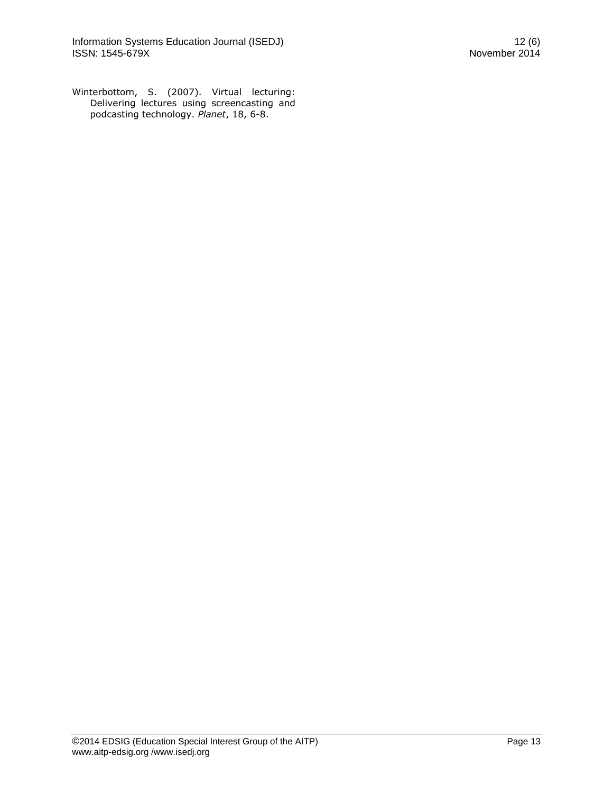Winterbottom, S. (2007). Virtual lecturing: Delivering lectures using screencasting and podcasting technology. *Planet*, 18, 6-8.